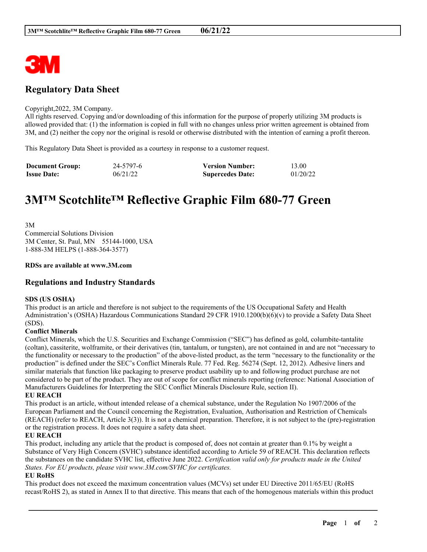

## **Regulatory Data Sheet**

#### Copyright,2022, 3M Company.

All rights reserved. Copying and/or downloading of this information for the purpose of properly utilizing 3M products is allowed provided that: (1) the information is copied in full with no changes unless prior written agreement is obtained from 3M, and (2) neither the copy nor the original is resold or otherwise distributed with the intention of earning a profit thereon.

This Regulatory Data Sheet is provided as a courtesy in response to a customer request.

| <b>Document Group:</b> | 24-5797-6 | <b>Version Number:</b>  | 13.00    |
|------------------------|-----------|-------------------------|----------|
| <b>Issue Date:</b>     | 06/21/22  | <b>Supercedes Date:</b> | 01/20/22 |

# **3M™ Scotchlite™ Reflective Graphic Film 680-77 Green**

3M Commercial Solutions Division 3M Center, St. Paul, MN 55144-1000, USA 1-888-3M HELPS (1-888-364-3577)

#### **RDSs are available at www.3M.com**

### **Regulations and Industry Standards**

#### **SDS (US OSHA)**

This product is an article and therefore is not subject to the requirements of the US Occupational Safety and Health Administration's (OSHA) Hazardous Communications Standard 29 CFR 1910.1200(b)(6)(v) to provide a Safety Data Sheet (SDS).

#### **Conflict Minerals**

Conflict Minerals, which the U.S. Securities and Exchange Commission ("SEC") has defined as gold, columbite-tantalite (coltan), cassiterite, wolframite, or their derivatives (tin, tantalum, or tungsten), are not contained in and are not "necessary to the functionality or necessary to the production" of the above-listed product, as the term "necessary to the functionality or the production" is defined under the SEC's Conflict Minerals Rule. 77 Fed. Reg. 56274 (Sept. 12, 2012). Adhesive liners and similar materials that function like packaging to preserve product usability up to and following product purchase are not considered to be part of the product. They are out of scope for conflict minerals reporting (reference: National Association of Manufacturers Guidelines for Interpreting the SEC Conflict Minerals Disclosure Rule, section II).

#### **EU REACH**

This product is an article, without intended release of a chemical substance, under the Regulation No 1907/2006 of the European Parliament and the Council concerning the Registration, Evaluation, Authorisation and Restriction of Chemicals (REACH) (refer to REACH, Article 3(3)). It is not a chemical preparation. Therefore, it is not subject to the (pre)-registration or the registration process. It does not require a safety data sheet.

#### **EU REACH**

This product, including any article that the product is composed of, does not contain at greater than 0.1% by weight a Substance of Very High Concern (SVHC) substance identified according to Article 59 of REACH. This declaration reflects the substances on the candidate SVHC list, effective June 2022. *Certification valid only for products made in the United States. For EU products, please visit www.3M.com/SVHC for certificates.*

#### **EU RoHS**

This product does not exceed the maximum concentration values (MCVs) set under EU Directive 2011/65/EU (RoHS recast/RoHS 2), as stated in Annex II to that directive. This means that each of the homogenous materials within this product

\_\_\_\_\_\_\_\_\_\_\_\_\_\_\_\_\_\_\_\_\_\_\_\_\_\_\_\_\_\_\_\_\_\_\_\_\_\_\_\_\_\_\_\_\_\_\_\_\_\_\_\_\_\_\_\_\_\_\_\_\_\_\_\_\_\_\_\_\_\_\_\_\_\_\_\_\_\_\_\_\_\_\_\_\_\_\_\_\_\_